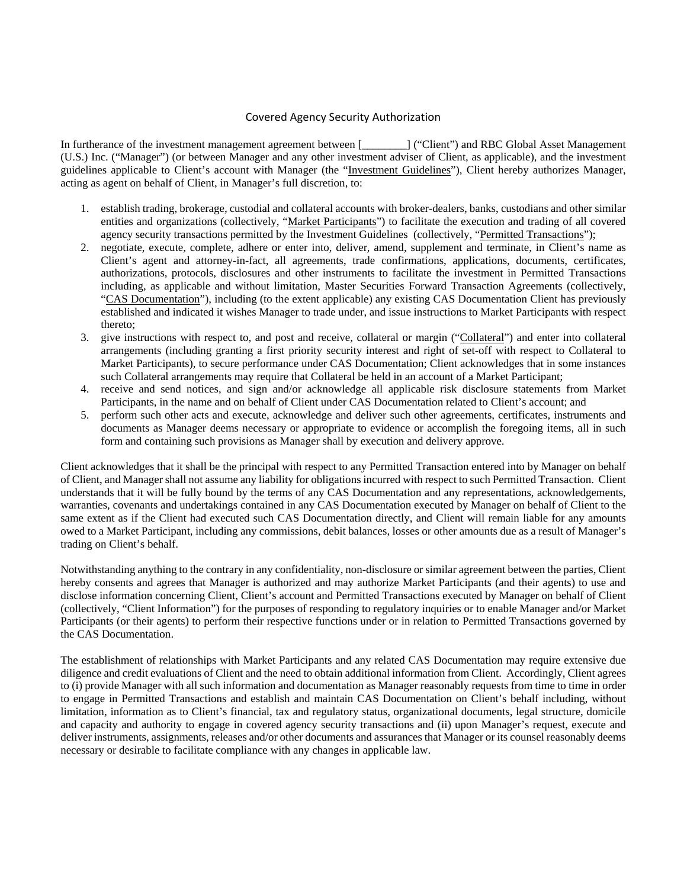## Covered Agency Security Authorization

In furtherance of the investment management agreement between [  $\ddot{\text{C}}$  ("Client") and RBC Global Asset Management (U.S.) Inc. ("Manager") (or between Manager and any other investment adviser of Client, as applicable), and the investment guidelines applicable to Client's account with Manager (the "Investment Guidelines"), Client hereby authorizes Manager, acting as agent on behalf of Client, in Manager's full discretion, to:

- 1. establish trading, brokerage, custodial and collateral accounts with broker-dealers, banks, custodians and other similar entities and organizations (collectively, "Market Participants") to facilitate the execution and trading of all covered agency security transactions permitted by the Investment Guidelines (collectively, "Permitted Transactions");
- 2. negotiate, execute, complete, adhere or enter into, deliver, amend, supplement and terminate, in Client's name as Client's agent and attorney-in-fact, all agreements, trade confirmations, applications, documents, certificates, authorizations, protocols, disclosures and other instruments to facilitate the investment in Permitted Transactions including, as applicable and without limitation, Master Securities Forward Transaction Agreements (collectively, "CAS Documentation"), including (to the extent applicable) any existing CAS Documentation Client has previously established and indicated it wishes Manager to trade under, and issue instructions to Market Participants with respect thereto;
- 3. give instructions with respect to, and post and receive, collateral or margin ("Collateral") and enter into collateral arrangements (including granting a first priority security interest and right of set-off with respect to Collateral to Market Participants), to secure performance under CAS Documentation; Client acknowledges that in some instances such Collateral arrangements may require that Collateral be held in an account of a Market Participant;
- 4. receive and send notices, and sign and/or acknowledge all applicable risk disclosure statements from Market Participants, in the name and on behalf of Client under CAS Documentation related to Client's account; and
- 5. perform such other acts and execute, acknowledge and deliver such other agreements, certificates, instruments and documents as Manager deems necessary or appropriate to evidence or accomplish the foregoing items, all in such form and containing such provisions as Manager shall by execution and delivery approve.

Client acknowledges that it shall be the principal with respect to any Permitted Transaction entered into by Manager on behalf of Client, and Manager shall not assume any liability for obligations incurred with respect to such Permitted Transaction. Client understands that it will be fully bound by the terms of any CAS Documentation and any representations, acknowledgements, warranties, covenants and undertakings contained in any CAS Documentation executed by Manager on behalf of Client to the same extent as if the Client had executed such CAS Documentation directly, and Client will remain liable for any amounts owed to a Market Participant, including any commissions, debit balances, losses or other amounts due as a result of Manager's trading on Client's behalf.

Notwithstanding anything to the contrary in any confidentiality, non-disclosure or similar agreement between the parties, Client hereby consents and agrees that Manager is authorized and may authorize Market Participants (and their agents) to use and disclose information concerning Client, Client's account and Permitted Transactions executed by Manager on behalf of Client (collectively, "Client Information") for the purposes of responding to regulatory inquiries or to enable Manager and/or Market Participants (or their agents) to perform their respective functions under or in relation to Permitted Transactions governed by the CAS Documentation.

The establishment of relationships with Market Participants and any related CAS Documentation may require extensive due diligence and credit evaluations of Client and the need to obtain additional information from Client. Accordingly, Client agrees to (i) provide Manager with all such information and documentation as Manager reasonably requests from time to time in order to engage in Permitted Transactions and establish and maintain CAS Documentation on Client's behalf including, without limitation, information as to Client's financial, tax and regulatory status, organizational documents, legal structure, domicile and capacity and authority to engage in covered agency security transactions and (ii) upon Manager's request, execute and deliver instruments, assignments, releases and/or other documents and assurances that Manager or its counsel reasonably deems necessary or desirable to facilitate compliance with any changes in applicable law.